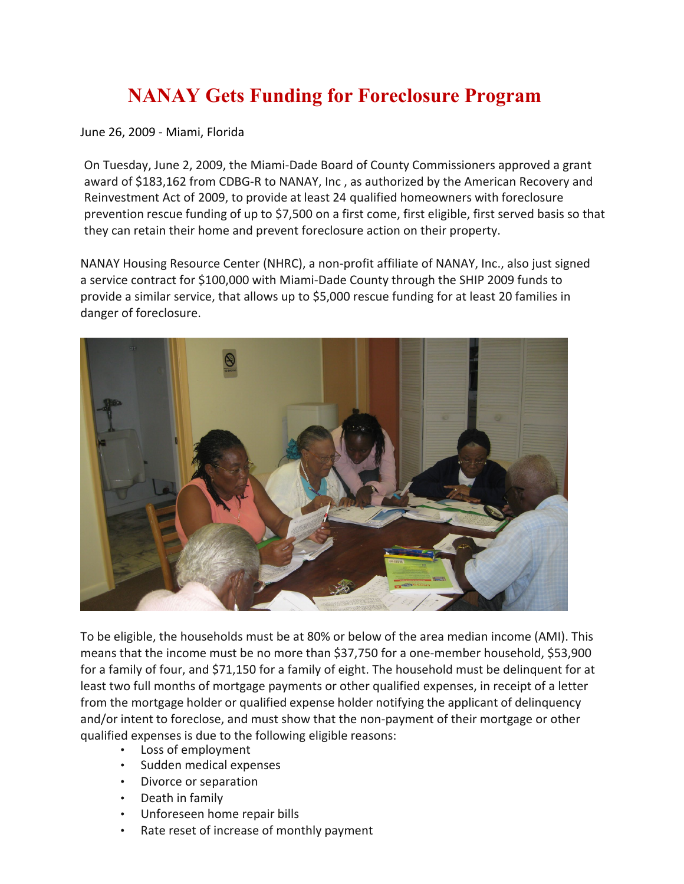## **NANAY Gets Funding for Foreclosure Program**

June 26, 2009 ‐ Miami, Florida

On Tuesday, June 2, 2009, the Miami-Dade Board of County Commissioners approved a grant award of \$183,162 from CDBG‐R to NANAY, Inc , as authorized by the American Recovery and Reinvestment Act of 2009, to provide at least 24 qualified homeowners with foreclosure prevention rescue funding of up to \$7,500 on a first come, first eligible, first served basis so that they can retain their home and prevent foreclosure action on their property.

NANAY Housing Resource Center (NHRC), a non-profit affiliate of NANAY, Inc., also just signed a service contract for \$100,000 with Miami-Dade County through the SHIP 2009 funds to provide a similar service, that allows up to \$5,000 rescue funding for at least 20 families in danger of foreclosure.



To be eligible, the households must be at 80% or below of the area median income (AMI). This means that the income must be no more than \$37,750 for a one-member household, \$53,900 for a family of four, and \$71,150 for a family of eight. The household must be delinquent for at least two full months of mortgage payments or other qualified expenses, in receipt of a letter from the mortgage holder or qualified expense holder notifying the applicant of delinquency and/or intent to foreclose, and must show that the non-payment of their mortgage or other qualified expenses is due to the following eligible reasons:

- Loss of employment
- Sudden medical expenses
- Divorce or separation
- Death in family
- Unforeseen home repair bills
- Rate reset of increase of monthly payment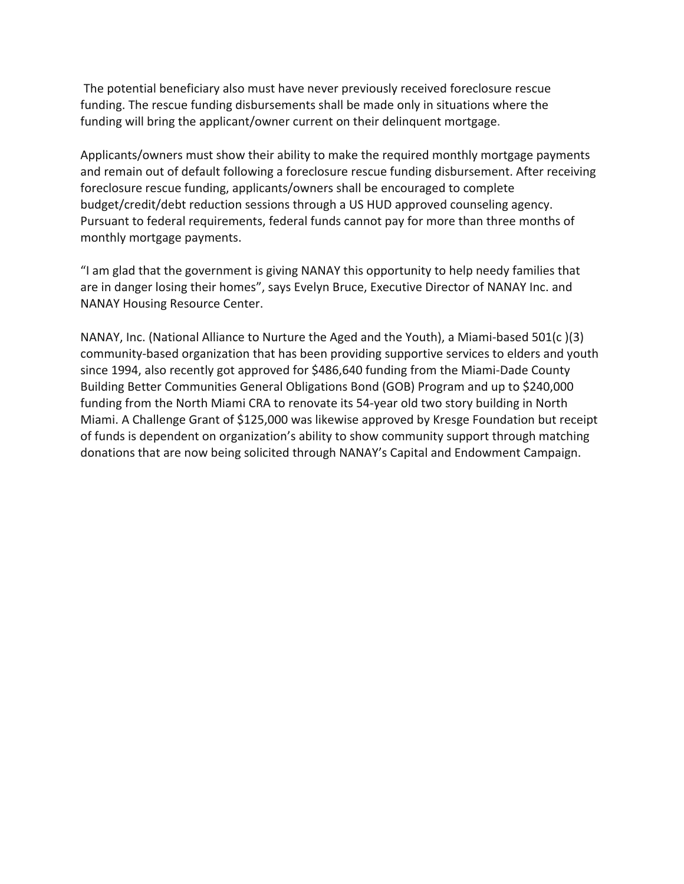The potential beneficiary also must have never previously received foreclosure rescue funding. The rescue funding disbursements shall be made only in situations where the funding will bring the applicant/owner current on their delinquent mortgage.

Applicants/owners must show their ability to make the required monthly mortgage payments and remain out of default following a foreclosure rescue funding disbursement. After receiving foreclosure rescue funding, applicants/owners shall be encouraged to complete budget/credit/debt reduction sessions through a US HUD approved counseling agency. Pursuant to federal requirements, federal funds cannot pay for more than three months of monthly mortgage payments.

"I am glad that the government is giving NANAY this opportunity to help needy families that are in danger losing their homes", says Evelyn Bruce, Executive Director of NANAY Inc. and NANAY Housing Resource Center.

NANAY, Inc. (National Alliance to Nurture the Aged and the Youth), a Miami-based 501(c )(3) community-based organization that has been providing supportive services to elders and youth since 1994, also recently got approved for \$486,640 funding from the Miami-Dade County Building Better Communities General Obligations Bond (GOB) Program and up to \$240,000 funding from the North Miami CRA to renovate its 54-year old two story building in North Miami. A Challenge Grant of \$125,000 was likewise approved by Kresge Foundation but receipt of funds is dependent on organization's ability to show community support through matching donations that are now being solicited through NANAY's Capital and Endowment Campaign.